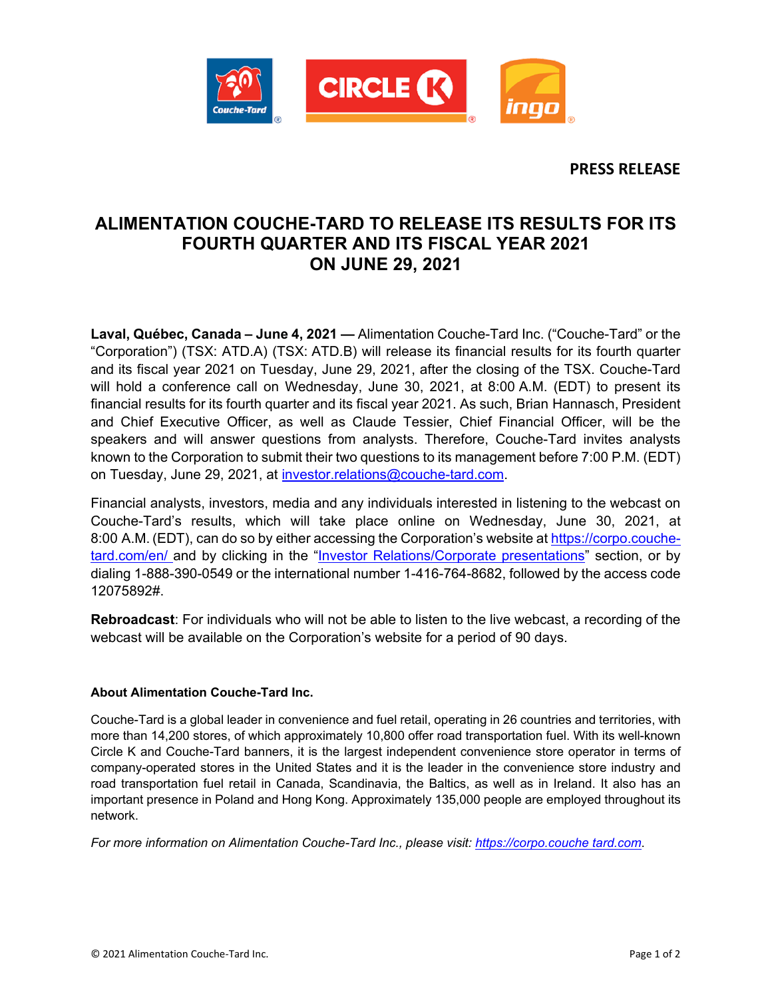

**PRESS RELEASE**

## **ALIMENTATION COUCHE-TARD TO RELEASE ITS RESULTS FOR ITS FOURTH QUARTER AND ITS FISCAL YEAR 2021 ON JUNE 29, 2021**

**Laval, Québec, Canada – June 4, 2021 —** Alimentation Couche-Tard Inc. ("Couche-Tard" or the "Corporation") (TSX: ATD.A) (TSX: ATD.B) will release its financial results for its fourth quarter and its fiscal year 2021 on Tuesday, June 29, 2021, after the closing of the TSX. Couche-Tard will hold a conference call on Wednesday, June 30, 2021, at 8:00 A.M. (EDT) to present its financial results for its fourth quarter and its fiscal year 2021. As such, Brian Hannasch, President and Chief Executive Officer, as well as Claude Tessier, Chief Financial Officer, will be the speakers and will answer questions from analysts. Therefore, Couche-Tard invites analysts known to the Corporation to submit their two questions to its management before 7:00 P.M. (EDT) on Tuesday, June 29, 2021, at [investor.relations@couche-tard.com.](mailto:investor.relations@couche-tard.com)

Financial analysts, investors, media and any individuals interested in listening to the webcast on Couche-Tard's results, which will take place online on Wednesday, June 30, 2021, at 8:00 A.M. (EDT), can do so by either accessing the Corporation's website at [https://corpo.couche](https://corpo.couche-tard.com/en/)[tard.com/en/](https://corpo.couche-tard.com/en/) and by clicking in the ["Investor Relations/Corporate presentations"](https://corpo.couche-tard.com/en/investor-relations/corporate-presentations/) section, or by dialing 1-888-390-0549 or the international number 1-416-764-8682, followed by the access code 12075892#.

**Rebroadcast**: For individuals who will not be able to listen to the live webcast, a recording of the webcast will be available on the Corporation's website for a period of 90 days.

## **About Alimentation Couche-Tard Inc.**

Couche-Tard is a global leader in convenience and fuel retail, operating in 26 countries and territories, with more than 14,200 stores, of which approximately 10,800 offer road transportation fuel. With its well-known Circle K and Couche-Tard banners, it is the largest independent convenience store operator in terms of company-operated stores in the United States and it is the leader in the convenience store industry and road transportation fuel retail in Canada, Scandinavia, the Baltics, as well as in Ireland. It also has an important presence in Poland and Hong Kong. Approximately 135,000 people are employed throughout its network.

*For more information on Alimentation Couche-Tard Inc., please visit: [https://corpo.couche tard.com](https://corpo.couche-tard.com/)*.